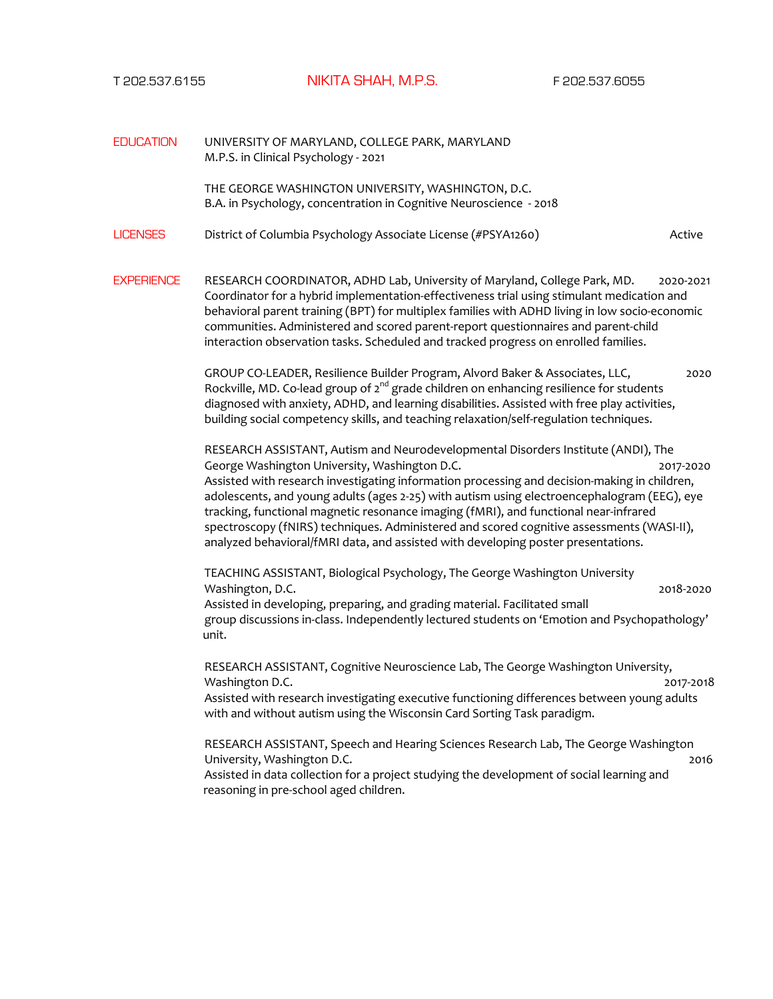T 202.537.6155NIKITA SHAH, M.P.S.F 202.537.6055

EDUCATION UNIVERSITY OF MARYLAND, COLLEGE PARK, MARYLAND M.P.S. in Clinical Psychology - 2021 THE GEORGE WASHINGTON UNIVERSITY, WASHINGTON, D.C. B.A. in Psychology, concentration in Cognitive Neuroscience - 2018 LICENSES District of Columbia Psychology Associate License (#PSYA1260) Active EXPERIENCE RESEARCH COORDINATOR, ADHD Lab, University of Maryland, College Park, MD. 2020-2021 Coordinator for a hybrid implementation-effectiveness trial using stimulant medication and behavioral parent training (BPT) for multiplex families with ADHD living in low socio-economic communities. Administered and scored parent-report questionnaires and parent-child interaction observation tasks. Scheduled and tracked progress on enrolled families. GROUP CO-LEADER, Resilience Builder Program, Alvord Baker & Associates, LLC, 2020 Rockville, MD. Co-lead group of  $2^{nd}$  grade children on enhancing resilience for students diagnosed with anxiety, ADHD, and learning disabilities. Assisted with free play activities, building social competency skills, and teaching relaxation/self-regulation techniques. RESEARCH ASSISTANT, Autism and Neurodevelopmental Disorders Institute (ANDI), The George Washington University, Washington D.C. 2017-2020 Assisted with research investigating information processing and decision-making in children, adolescents, and young adults (ages 2-25) with autism using electroencephalogram (EEG), eye tracking, functional magnetic resonance imaging (fMRI), and functional near-infrared spectroscopy (fNIRS) techniques. Administered and scored cognitive assessments (WASI-II), analyzed behavioral/fMRI data, and assisted with developing poster presentations. TEACHING ASSISTANT, Biological Psychology, The George Washington University Washington, D.C. 2018-2020 Assisted in developing, preparing, and grading material. Facilitated small group discussions in-class. Independently lectured students on 'Emotion and Psychopathology' unit. RESEARCH ASSISTANT, Cognitive Neuroscience Lab, The George Washington University, Washington D.C. 2017-2018 Assisted with research investigating executive functioning differences between young adults with and without autism using the Wisconsin Card Sorting Task paradigm. RESEARCH ASSISTANT, Speech and Hearing Sciences Research Lab, The George Washington University, Washington D.C. 2016 Assisted in data collection for a project studying the development of social learning and reasoning in pre-school aged children.